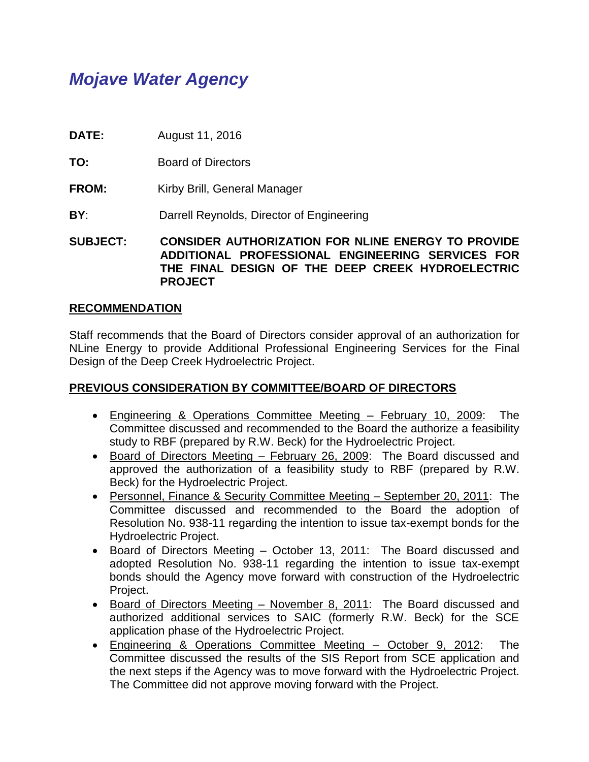# *Mojave Water Agency*

- **DATE:** August 11, 2016
- **TO:** Board of Directors
- **FROM:** Kirby Brill, General Manager
- **BY:** Darrell Reynolds, Director of Engineering

**SUBJECT: CONSIDER AUTHORIZATION FOR NLINE ENERGY TO PROVIDE ADDITIONAL PROFESSIONAL ENGINEERING SERVICES FOR THE FINAL DESIGN OF THE DEEP CREEK HYDROELECTRIC PROJECT** 

#### **RECOMMENDATION**

Staff recommends that the Board of Directors consider approval of an authorization for NLine Energy to provide Additional Professional Engineering Services for the Final Design of the Deep Creek Hydroelectric Project.

## **PREVIOUS CONSIDERATION BY COMMITTEE/BOARD OF DIRECTORS**

- Engineering & Operations Committee Meeting February 10, 2009: The Committee discussed and recommended to the Board the authorize a feasibility study to RBF (prepared by R.W. Beck) for the Hydroelectric Project.
- Board of Directors Meeting February 26, 2009: The Board discussed and approved the authorization of a feasibility study to RBF (prepared by R.W. Beck) for the Hydroelectric Project.
- Personnel, Finance & Security Committee Meeting September 20, 2011: The Committee discussed and recommended to the Board the adoption of Resolution No. 938-11 regarding the intention to issue tax-exempt bonds for the Hydroelectric Project.
- Board of Directors Meeting October 13, 2011: The Board discussed and adopted Resolution No. 938-11 regarding the intention to issue tax-exempt bonds should the Agency move forward with construction of the Hydroelectric Project.
- Board of Directors Meeting November 8, 2011: The Board discussed and authorized additional services to SAIC (formerly R.W. Beck) for the SCE application phase of the Hydroelectric Project.
- Engineering & Operations Committee Meeting October 9, 2012: The Committee discussed the results of the SIS Report from SCE application and the next steps if the Agency was to move forward with the Hydroelectric Project. The Committee did not approve moving forward with the Project.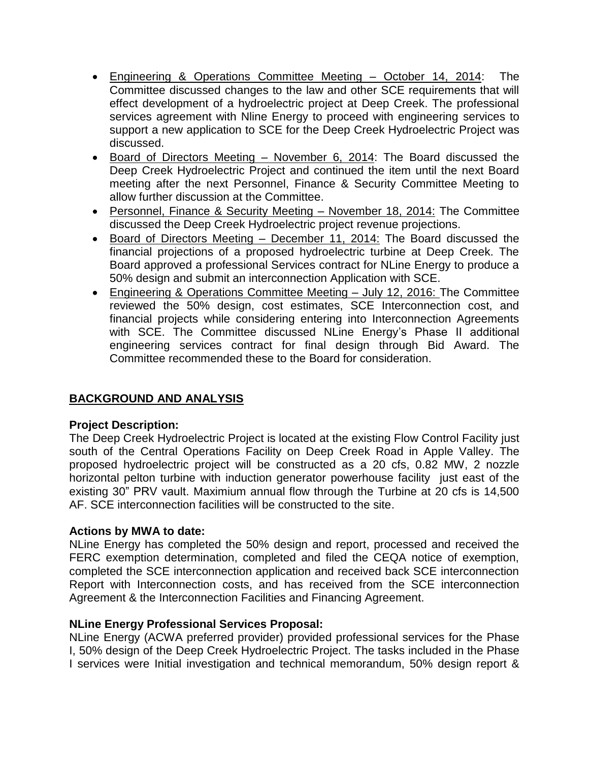- Engineering & Operations Committee Meeting October 14, 2014: The Committee discussed changes to the law and other SCE requirements that will effect development of a hydroelectric project at Deep Creek. The professional services agreement with Nline Energy to proceed with engineering services to support a new application to SCE for the Deep Creek Hydroelectric Project was discussed.
- Board of Directors Meeting November 6, 2014: The Board discussed the Deep Creek Hydroelectric Project and continued the item until the next Board meeting after the next Personnel, Finance & Security Committee Meeting to allow further discussion at the Committee.
- Personnel, Finance & Security Meeting November 18, 2014: The Committee discussed the Deep Creek Hydroelectric project revenue projections.
- Board of Directors Meeting December 11, 2014: The Board discussed the financial projections of a proposed hydroelectric turbine at Deep Creek. The Board approved a professional Services contract for NLine Energy to produce a 50% design and submit an interconnection Application with SCE.
- Engineering & Operations Committee Meeting July 12, 2016: The Committee reviewed the 50% design, cost estimates, SCE Interconnection cost, and financial projects while considering entering into Interconnection Agreements with SCE. The Committee discussed NLine Energy's Phase II additional engineering services contract for final design through Bid Award. The Committee recommended these to the Board for consideration.

# **BACKGROUND AND ANALYSIS**

## **Project Description:**

The Deep Creek Hydroelectric Project is located at the existing Flow Control Facility just south of the Central Operations Facility on Deep Creek Road in Apple Valley. The proposed hydroelectric project will be constructed as a 20 cfs, 0.82 MW, 2 nozzle horizontal pelton turbine with induction generator powerhouse facility just east of the existing 30" PRV vault. Maximium annual flow through the Turbine at 20 cfs is 14,500 AF. SCE interconnection facilities will be constructed to the site.

## **Actions by MWA to date:**

NLine Energy has completed the 50% design and report, processed and received the FERC exemption determination, completed and filed the CEQA notice of exemption, completed the SCE interconnection application and received back SCE interconnection Report with Interconnection costs, and has received from the SCE interconnection Agreement & the Interconnection Facilities and Financing Agreement.

## **NLine Energy Professional Services Proposal:**

NLine Energy (ACWA preferred provider) provided professional services for the Phase I, 50% design of the Deep Creek Hydroelectric Project. The tasks included in the Phase I services were Initial investigation and technical memorandum, 50% design report &